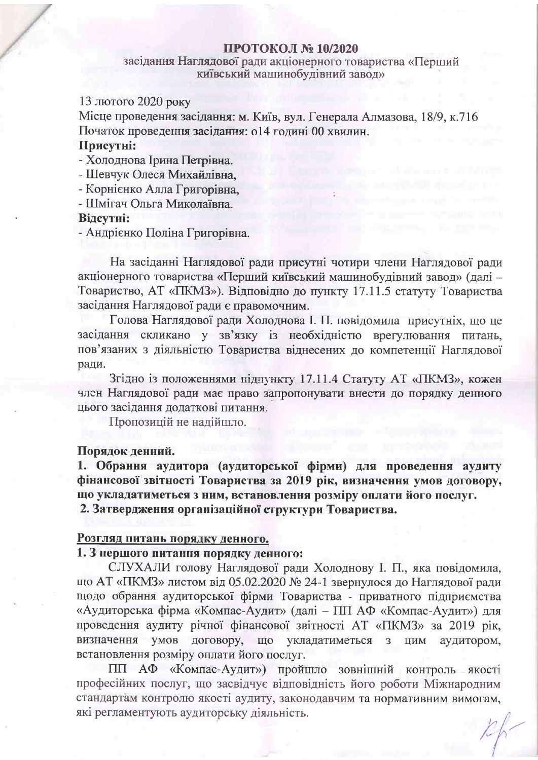## ПРОТОКОЛ № 10/2020

## засідання Наглядової ради акціонерного товариства «Перший київський машинобудівний завод»

## 13 лютого 2020 року

Місце проведення засідання: м. Київ, вул. Генерала Алмазова, 18/9, к.716 Початок проведення засідання: о14 годині 00 хвилин.

## Присутні:

- Холоднова Ірина Петрівна.

- Шевчук Олеся Михайлівна.

- Корнієнко Алла Григорівна,

- Шмігач Ольга Миколаївна

#### Вілсутні:

- Андрієнко Поліна Григорівна.

На засіданні Наглядової ради присутні чотири члени Наглядової ради акціонерного товариства «Перший київський машинобудівний завод» (далі -Товариство, АТ «ПКМЗ»). Відповідно до пункту 17.11.5 статуту Товариства засідання Наглядової ради є правомочним.

Голова Наглядової ради Холоднова I. П. повідомила присутніх, що це засідання скликано у зв'язку із необхідністю врегулювання питань, пов'язаних з діяльністю Товариства віднесених до компетенції Наглядової ради.

Згідно із положеннями підпункту 17.11.4 Статуту АТ «ПКМЗ», кожен член Наглядової ради має право запропонувати внести до порядку денного цього засідання додаткові питання.

Пропозицій не надійшло.

#### Порядок денний.

1. Обрання аудитора (аудиторської фірми) для проведення аудиту фінансової звітності Товариства за 2019 рік, визначення умов договору, що укладатиметься з ним, встановлення розміру оплати його послуг. 2. Затвердження організаційної структури Товариства.

#### Розгляд питань порядку денного.

## 1. З першого питання порядку денного:

СЛУХАЛИ голову Наглядової ради Холоднову І. П., яка повідомила, що АТ «ПКМЗ» листом від 05.02.2020 № 24-1 звернулося до Наглядової ради щодо обрання аудиторської фірми Товариства - приватного підприємства «Аудиторська фірма «Компас-Аудит» (далі - ПП АФ «Компас-Аудит») для проведення аудиту річної фінансової звітності АТ «ПКМЗ» за 2019 рік, визначення умов договору, що укладатиметься з ЦИМ аудитором, встановлення розміру оплати його послуг.

ПП АФ «Компас-Аудит») пройшло зовнішній контроль якості професійних послуг, що засвідчує відповідність його роботи Міжнародним стандартам контролю якості аудиту, законодавчим та нормативним вимогам, які регламентують аудиторську діяльність.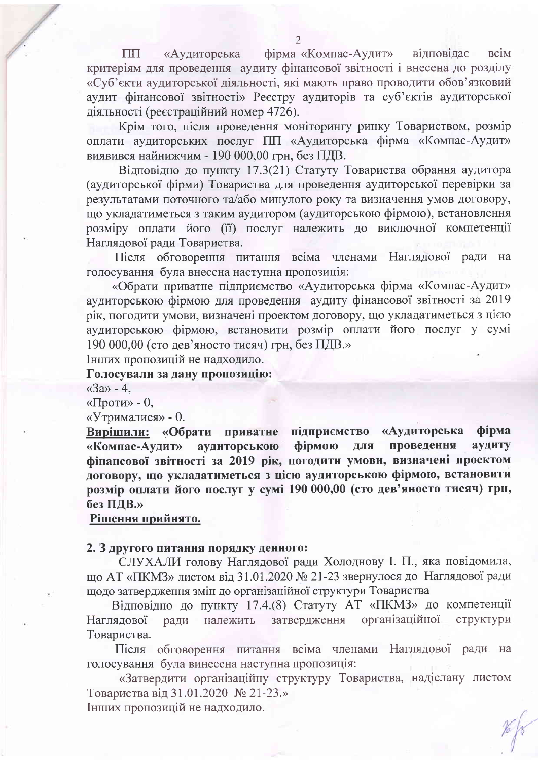фірма «Компас-Аудит» вілповілає  $\Pi\Pi$ «Аудиторська **BCIM** критеріям для проведення аудиту фінансової звітності і внесена до розділу «Суб'єкти аудиторської діяльності, які мають право проводити обов'язковий аудит фінансової звітності» Реєстру аудиторів та суб'єктів аудиторської діяльності (реєстраційний номер 4726).

Крім того, після проведення моніторингу ринку Товариством, розмір оплати аудиторських послуг ПП «Аудиторська фірма «Компас-Аудит» виявився найнижчим - 190 000,00 грн, без ПДВ.

Відповідно до пункту 17.3(21) Статуту Товариства обрання аудитора (аудиторської фірми) Товариства для проведення аудиторської перевірки за результатами поточного та/або минулого року та визначення умов договору, що укладатиметься з таким аудитором (аудиторською фірмою), встановлення розміру оплати його (її) послуг належить до виключної компетенції Наглядової ради Товариства.

Після обговорення питання всіма членами Наглядової ради на голосування була внесена наступна пропозиція:

«Обрати приватне підприємство «Аудиторська фірма «Компас-Аудит» аудиторською фірмою для проведення аудиту фінансової звітності за 2019 рік, погодити умови, визначені проектом договору, що укладатиметься з цією аудиторською фірмою, встановити розмір оплати його послуг у сумі 190 000,00 (сто дев'яносто тисяч) грн, без ПДВ.»

Інших пропозицій не надходило.

# Голосували за дану пропозицію:

 $\langle$ 3a» - 4.

«Проти» - 0,

«Утрималися» - 0.

Вирішили: «Обрати приватне підприємство «Аудиторська фірма фірмою проведення аудиту «Компас-Аудит» аудиторською ДЛЯ фінансової звітності за 2019 рік, погодити умови, визначені проектом договору, що укладатиметься з цією аудиторською фірмою, встановити розмір оплати його послуг у сумі 190 000,00 (сто дев'яносто тисяч) грн, без ПДВ.»

# Рішення прийнято.

#### 2. З другого питання порядку денного:

СЛУХАЛИ голову Наглядової ради Холоднову I. П., яка повідомила, що АТ «ПКМЗ» листом від 31.01.2020 № 21-23 звернулося до Наглядової ради щодо затвердження змін до організаційної структури Товариства

Відповідно до пункту 17.4.(8) Статуту АТ «ПКМЗ» до компетенції затвердження організаційної Наглядової структури ради належить Товариства.

Після обговорення питання всіма членами Наглядової ради на голосування була винесена наступна пропозиція:

«Затвердити організаційну структуру Товариства, надіслану листом Товариства від 31.01.2020 № 21-23.»

Інших пропозицій не надходило.